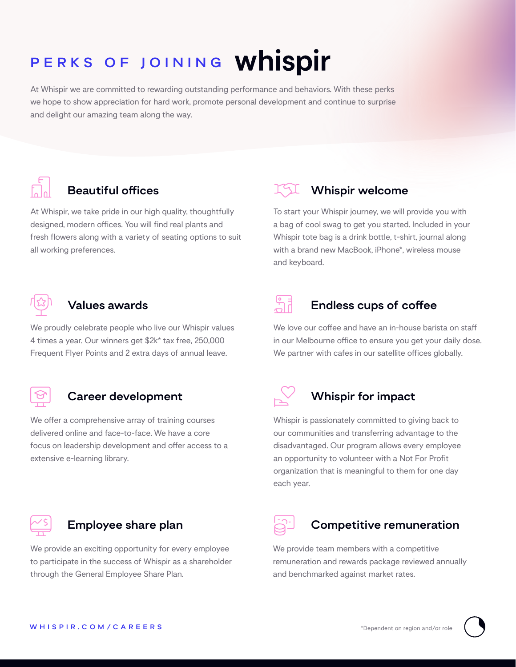# PERKS OF JOINING Whispir

At Whispir we are committed to rewarding outstanding performance and behaviors. With these perks we hope to show appreciation for hard work, promote personal development and continue to surprise and delight our amazing team along the way.



# **Beautiful offices**

At Whispir, we take pride in our high quality, thoughtfully designed, modern offices. You will find real plants and fresh flowers along with a variety of seating options to suit all working preferences.



#### **Values awards**

We proudly celebrate people who live our Whispir values 4 times a year. Our winners get \$2k\* tax free, 250,000 Frequent Flyer Points and 2 extra days of annual leave.



#### **Career development**

We offer a comprehensive array of training courses delivered online and face-to-face. We have a core focus on leadership development and offer access to a extensive e-learning library.



#### **Employee share plan**

We provide an exciting opportunity for every employee to participate in the success of Whispir as a shareholder through the General Employee Share Plan.



To start your Whispir journey, we will provide you with a bag of cool swag to get you started. Included in your Whispir tote bag is a drink bottle, t-shirt, journal along with a brand new MacBook, iPhone\*, wireless mouse and keyboard.



### **Endless cups of coffee**

We love our coffee and have an in-house barista on staff in our Melbourne office to ensure you get your daily dose. We partner with cafes in our satellite offices globally.



# **Whispir for impact**

Whispir is passionately committed to giving back to our communities and transferring advantage to the disadvantaged. Our program allows every employee an opportunity to volunteer with a Not For Profit organization that is meaningful to them for one day each year.



# **Competitive remuneration**

We provide team members with a competitive remuneration and rewards package reviewed annually and benchmarked against market rates.